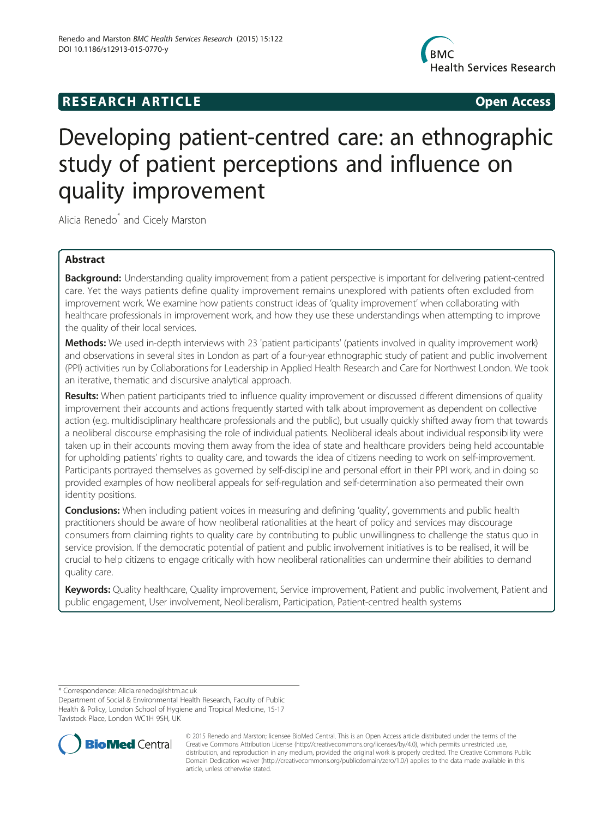# **RESEARCH ARTICLE Example 2014 CONSIDERING CONSIDERING CONSIDERING CONSIDERING CONSIDERING CONSIDERING CONSIDERING CONSIDERING CONSIDERING CONSIDERING CONSIDERING CONSIDERING CONSIDERING CONSIDERING CONSIDERING CONSIDE**



# Developing patient-centred care: an ethnographic study of patient perceptions and influence on quality improvement

Alicia Renedo\* and Cicely Marston

# Abstract

Background: Understanding quality improvement from a patient perspective is important for delivering patient-centred care. Yet the ways patients define quality improvement remains unexplored with patients often excluded from improvement work. We examine how patients construct ideas of 'quality improvement' when collaborating with healthcare professionals in improvement work, and how they use these understandings when attempting to improve the quality of their local services.

Methods: We used in-depth interviews with 23 'patient participants' (patients involved in quality improvement work) and observations in several sites in London as part of a four-year ethnographic study of patient and public involvement (PPI) activities run by Collaborations for Leadership in Applied Health Research and Care for Northwest London. We took an iterative, thematic and discursive analytical approach.

Results: When patient participants tried to influence quality improvement or discussed different dimensions of quality improvement their accounts and actions frequently started with talk about improvement as dependent on collective action (e.g. multidisciplinary healthcare professionals and the public), but usually quickly shifted away from that towards a neoliberal discourse emphasising the role of individual patients. Neoliberal ideals about individual responsibility were taken up in their accounts moving them away from the idea of state and healthcare providers being held accountable for upholding patients' rights to quality care, and towards the idea of citizens needing to work on self-improvement. Participants portrayed themselves as governed by self-discipline and personal effort in their PPI work, and in doing so provided examples of how neoliberal appeals for self-regulation and self-determination also permeated their own identity positions.

Conclusions: When including patient voices in measuring and defining 'quality', governments and public health practitioners should be aware of how neoliberal rationalities at the heart of policy and services may discourage consumers from claiming rights to quality care by contributing to public unwillingness to challenge the status quo in service provision. If the democratic potential of patient and public involvement initiatives is to be realised, it will be crucial to help citizens to engage critically with how neoliberal rationalities can undermine their abilities to demand quality care.

Keywords: Quality healthcare, Quality improvement, Service improvement, Patient and public involvement, Patient and public engagement, User involvement, Neoliberalism, Participation, Patient-centred health systems

\* Correspondence: [Alicia.renedo@lshtm.ac.uk](mailto:Alicia.renedo@lshtm.ac.uk)

Department of Social & Environmental Health Research, Faculty of Public Health & Policy, London School of Hygiene and Tropical Medicine, 15-17 Tavistock Place, London WC1H 9SH, UK



<sup>© 2015</sup> Renedo and Marston; licensee BioMed Central. This is an Open Access article distributed under the terms of the Creative Commons Attribution License (<http://creativecommons.org/licenses/by/4.0>), which permits unrestricted use, distribution, and reproduction in any medium, provided the original work is properly credited. The Creative Commons Public Domain Dedication waiver [\(http://creativecommons.org/publicdomain/zero/1.0/\)](http://creativecommons.org/publicdomain/zero/1.0/) applies to the data made available in this article, unless otherwise stated.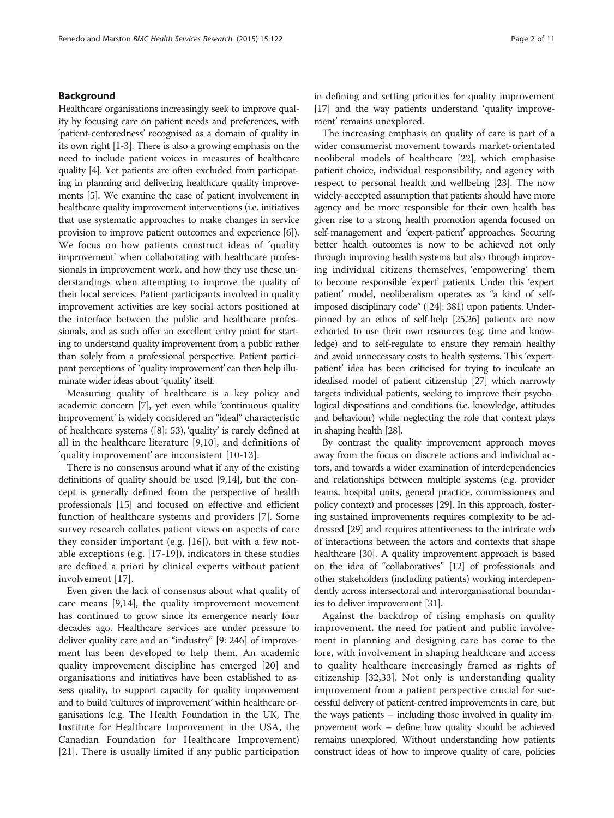## Background

Healthcare organisations increasingly seek to improve quality by focusing care on patient needs and preferences, with 'patient-centeredness' recognised as a domain of quality in its own right [\[1-3\]](#page-9-0). There is also a growing emphasis on the need to include patient voices in measures of healthcare quality [\[4\]](#page-9-0). Yet patients are often excluded from participating in planning and delivering healthcare quality improvements [\[5\]](#page-9-0). We examine the case of patient involvement in healthcare quality improvement interventions (i.e. initiatives that use systematic approaches to make changes in service provision to improve patient outcomes and experience [[6](#page-9-0)]). We focus on how patients construct ideas of 'quality improvement' when collaborating with healthcare professionals in improvement work, and how they use these understandings when attempting to improve the quality of their local services. Patient participants involved in quality improvement activities are key social actors positioned at the interface between the public and healthcare professionals, and as such offer an excellent entry point for starting to understand quality improvement from a public rather than solely from a professional perspective. Patient participant perceptions of 'quality improvement' can then help illuminate wider ideas about 'quality' itself.

Measuring quality of healthcare is a key policy and academic concern [[7\]](#page-9-0), yet even while 'continuous quality improvement' is widely considered an "ideal" characteristic of healthcare systems ([\[8](#page-9-0)]: 53), 'quality' is rarely defined at all in the healthcare literature [[9,10](#page-9-0)], and definitions of 'quality improvement' are inconsistent [\[10](#page-9-0)-[13](#page-9-0)].

There is no consensus around what if any of the existing definitions of quality should be used [\[9,14\]](#page-9-0), but the concept is generally defined from the perspective of health professionals [[15](#page-9-0)] and focused on effective and efficient function of healthcare systems and providers [[7\]](#page-9-0). Some survey research collates patient views on aspects of care they consider important (e.g. [[16\]](#page-9-0)), but with a few notable exceptions (e.g. [[17-19](#page-9-0)]), indicators in these studies are defined a priori by clinical experts without patient involvement [[17](#page-9-0)].

Even given the lack of consensus about what quality of care means [[9,14\]](#page-9-0), the quality improvement movement has continued to grow since its emergence nearly four decades ago. Healthcare services are under pressure to deliver quality care and an "industry" [9: 246] of improvement has been developed to help them. An academic quality improvement discipline has emerged [\[20](#page-9-0)] and organisations and initiatives have been established to assess quality, to support capacity for quality improvement and to build 'cultures of improvement' within healthcare organisations (e.g. The Health Foundation in the UK, The Institute for Healthcare Improvement in the USA, the Canadian Foundation for Healthcare Improvement) [[21\]](#page-9-0). There is usually limited if any public participation in defining and setting priorities for quality improvement [[17](#page-9-0)] and the way patients understand 'quality improvement' remains unexplored.

The increasing emphasis on quality of care is part of a wider consumerist movement towards market-orientated neoliberal models of healthcare [\[22\]](#page-9-0), which emphasise patient choice, individual responsibility, and agency with respect to personal health and wellbeing [\[23\]](#page-9-0). The now widely-accepted assumption that patients should have more agency and be more responsible for their own health has given rise to a strong health promotion agenda focused on self-management and 'expert-patient' approaches. Securing better health outcomes is now to be achieved not only through improving health systems but also through improving individual citizens themselves, 'empowering' them to become responsible 'expert' patients. Under this 'expert patient' model, neoliberalism operates as "a kind of selfimposed disciplinary code" ([[24\]](#page-9-0): 381) upon patients. Underpinned by an ethos of self-help [\[25,26](#page-9-0)] patients are now exhorted to use their own resources (e.g. time and knowledge) and to self-regulate to ensure they remain healthy and avoid unnecessary costs to health systems. This 'expertpatient' idea has been criticised for trying to inculcate an idealised model of patient citizenship [\[27\]](#page-9-0) which narrowly targets individual patients, seeking to improve their psychological dispositions and conditions (i.e. knowledge, attitudes and behaviour) while neglecting the role that context plays in shaping health [\[28\]](#page-9-0).

By contrast the quality improvement approach moves away from the focus on discrete actions and individual actors, and towards a wider examination of interdependencies and relationships between multiple systems (e.g. provider teams, hospital units, general practice, commissioners and policy context) and processes [\[29\]](#page-9-0). In this approach, fostering sustained improvements requires complexity to be addressed [\[29](#page-9-0)] and requires attentiveness to the intricate web of interactions between the actors and contexts that shape healthcare [[30\]](#page-9-0). A quality improvement approach is based on the idea of "collaboratives" [[12](#page-9-0)] of professionals and other stakeholders (including patients) working interdependently across intersectoral and interorganisational boundaries to deliver improvement [\[31\]](#page-9-0).

Against the backdrop of rising emphasis on quality improvement, the need for patient and public involvement in planning and designing care has come to the fore, with involvement in shaping healthcare and access to quality healthcare increasingly framed as rights of citizenship [[32,33\]](#page-9-0). Not only is understanding quality improvement from a patient perspective crucial for successful delivery of patient-centred improvements in care, but the ways patients – including those involved in quality improvement work – define how quality should be achieved remains unexplored. Without understanding how patients construct ideas of how to improve quality of care, policies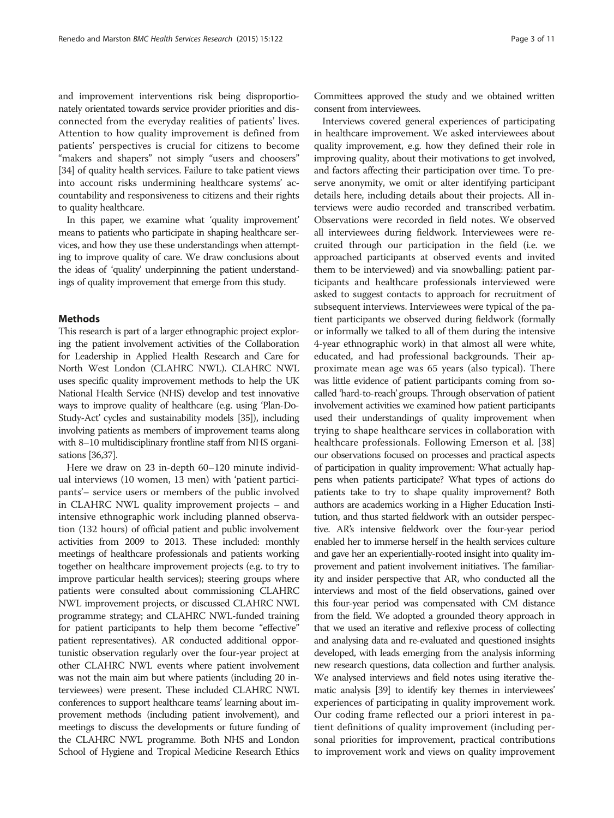and improvement interventions risk being disproportionately orientated towards service provider priorities and disconnected from the everyday realities of patients' lives. Attention to how quality improvement is defined from patients' perspectives is crucial for citizens to become "makers and shapers" not simply "users and choosers" [[34](#page-9-0)] of quality health services. Failure to take patient views into account risks undermining healthcare systems' accountability and responsiveness to citizens and their rights to quality healthcare.

In this paper, we examine what 'quality improvement' means to patients who participate in shaping healthcare services, and how they use these understandings when attempting to improve quality of care. We draw conclusions about the ideas of 'quality' underpinning the patient understandings of quality improvement that emerge from this study.

#### Methods

This research is part of a larger ethnographic project exploring the patient involvement activities of the Collaboration for Leadership in Applied Health Research and Care for North West London (CLAHRC NWL). CLAHRC NWL uses specific quality improvement methods to help the UK National Health Service (NHS) develop and test innovative ways to improve quality of healthcare (e.g. using 'Plan-Do-Study-Act' cycles and sustainability models [\[35\]](#page-9-0)), including involving patients as members of improvement teams along with 8–10 multidisciplinary frontline staff from NHS organisations [[36,37](#page-9-0)].

Here we draw on 23 in-depth 60–120 minute individual interviews (10 women, 13 men) with 'patient participants'– service users or members of the public involved in CLAHRC NWL quality improvement projects – and intensive ethnographic work including planned observation (132 hours) of official patient and public involvement activities from 2009 to 2013. These included: monthly meetings of healthcare professionals and patients working together on healthcare improvement projects (e.g. to try to improve particular health services); steering groups where patients were consulted about commissioning CLAHRC NWL improvement projects, or discussed CLAHRC NWL programme strategy; and CLAHRC NWL-funded training for patient participants to help them become "effective" patient representatives). AR conducted additional opportunistic observation regularly over the four-year project at other CLAHRC NWL events where patient involvement was not the main aim but where patients (including 20 interviewees) were present. These included CLAHRC NWL conferences to support healthcare teams' learning about improvement methods (including patient involvement), and meetings to discuss the developments or future funding of the CLAHRC NWL programme. Both NHS and London School of Hygiene and Tropical Medicine Research Ethics

Committees approved the study and we obtained written consent from interviewees.

Interviews covered general experiences of participating in healthcare improvement. We asked interviewees about quality improvement, e.g. how they defined their role in improving quality, about their motivations to get involved, and factors affecting their participation over time. To preserve anonymity, we omit or alter identifying participant details here, including details about their projects. All interviews were audio recorded and transcribed verbatim. Observations were recorded in field notes. We observed all interviewees during fieldwork. Interviewees were recruited through our participation in the field (i.e. we approached participants at observed events and invited them to be interviewed) and via snowballing: patient participants and healthcare professionals interviewed were asked to suggest contacts to approach for recruitment of subsequent interviews. Interviewees were typical of the patient participants we observed during fieldwork (formally or informally we talked to all of them during the intensive 4-year ethnographic work) in that almost all were white, educated, and had professional backgrounds. Their approximate mean age was 65 years (also typical). There was little evidence of patient participants coming from socalled 'hard-to-reach' groups. Through observation of patient involvement activities we examined how patient participants used their understandings of quality improvement when trying to shape healthcare services in collaboration with healthcare professionals. Following Emerson et al. [\[38](#page-9-0)] our observations focused on processes and practical aspects of participation in quality improvement: What actually happens when patients participate? What types of actions do patients take to try to shape quality improvement? Both authors are academics working in a Higher Education Institution, and thus started fieldwork with an outsider perspective. AR's intensive fieldwork over the four-year period enabled her to immerse herself in the health services culture and gave her an experientially-rooted insight into quality improvement and patient involvement initiatives. The familiarity and insider perspective that AR, who conducted all the interviews and most of the field observations, gained over this four-year period was compensated with CM distance from the field. We adopted a grounded theory approach in that we used an iterative and reflexive process of collecting and analysing data and re-evaluated and questioned insights developed, with leads emerging from the analysis informing new research questions, data collection and further analysis. We analysed interviews and field notes using iterative thematic analysis [\[39](#page-10-0)] to identify key themes in interviewees' experiences of participating in quality improvement work. Our coding frame reflected our a priori interest in patient definitions of quality improvement (including personal priorities for improvement, practical contributions to improvement work and views on quality improvement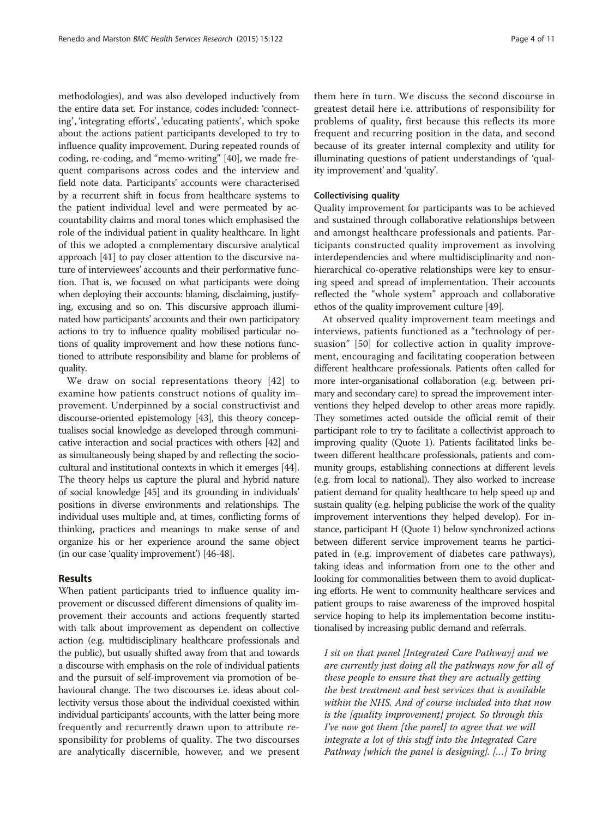methodologies), and was also developed inductively from the entire data set. For instance, codes included: 'connecting', 'integrating efforts', 'educating patients', which spoke about the actions patient participants developed to try to influence quality improvement. During repeated rounds of coding, re-coding, and "memo-writing" [\[40\]](#page-10-0), we made frequent comparisons across codes and the interview and field note data. Participants' accounts were characterised by a recurrent shift in focus from healthcare systems to the patient individual level and were permeated by accountability claims and moral tones which emphasised the role of the individual patient in quality healthcare. In light of this we adopted a complementary discursive analytical approach [[41](#page-10-0)] to pay closer attention to the discursive nature of interviewees' accounts and their performative function. That is, we focused on what participants were doing when deploying their accounts: blaming, disclaiming, justifying, excusing and so on. This discursive approach illuminated how participants' accounts and their own participatory actions to try to influence quality mobilised particular notions of quality improvement and how these notions functioned to attribute responsibility and blame for problems of quality.

We draw on social representations theory [[42](#page-10-0)] to examine how patients construct notions of quality improvement. Underpinned by a social constructivist and discourse-oriented epistemology [[43](#page-10-0)], this theory conceptualises social knowledge as developed through communicative interaction and social practices with others [\[42\]](#page-10-0) and as simultaneously being shaped by and reflecting the sociocultural and institutional contexts in which it emerges [\[44](#page-10-0)]. The theory helps us capture the plural and hybrid nature of social knowledge [[45](#page-10-0)] and its grounding in individuals' positions in diverse environments and relationships. The individual uses multiple and, at times, conflicting forms of thinking, practices and meanings to make sense of and organize his or her experience around the same object (in our case 'quality improvement') [\[46-48\]](#page-10-0).

# Results

When patient participants tried to influence quality improvement or discussed different dimensions of quality improvement their accounts and actions frequently started with talk about improvement as dependent on collective action (e.g. multidisciplinary healthcare professionals and the public), but usually shifted away from that and towards a discourse with emphasis on the role of individual patients and the pursuit of self-improvement via promotion of behavioural change. The two discourses i.e. ideas about collectivity versus those about the individual coexisted within individual participants' accounts, with the latter being more frequently and recurrently drawn upon to attribute responsibility for problems of quality. The two discourses are analytically discernible, however, and we present

them here in turn. We discuss the second discourse in greatest detail here i.e. attributions of responsibility for problems of quality, first because this reflects its more frequent and recurring position in the data, and second because of its greater internal complexity and utility for illuminating questions of patient understandings of 'quality improvement' and 'quality'.

## Collectivising quality

Quality improvement for participants was to be achieved and sustained through collaborative relationships between and amongst healthcare professionals and patients. Participants constructed quality improvement as involving interdependencies and where multidisciplinarity and nonhierarchical co-operative relationships were key to ensuring speed and spread of implementation. Their accounts reflected the "whole system" approach and collaborative ethos of the quality improvement culture [\[49\]](#page-10-0).

At observed quality improvement team meetings and interviews, patients functioned as a "technology of persuasion" [\[50](#page-10-0)] for collective action in quality improvement, encouraging and facilitating cooperation between different healthcare professionals. Patients often called for more inter-organisational collaboration (e.g. between primary and secondary care) to spread the improvement interventions they helped develop to other areas more rapidly. They sometimes acted outside the official remit of their participant role to try to facilitate a collectivist approach to improving quality (Quote 1). Patients facilitated links between different healthcare professionals, patients and community groups, establishing connections at different levels (e.g. from local to national). They also worked to increase patient demand for quality healthcare to help speed up and sustain quality (e.g. helping publicise the work of the quality improvement interventions they helped develop). For instance, participant H (Quote 1) below synchronized actions between different service improvement teams he participated in (e.g. improvement of diabetes care pathways), taking ideas and information from one to the other and looking for commonalities between them to avoid duplicating efforts. He went to community healthcare services and patient groups to raise awareness of the improved hospital service hoping to help its implementation become institutionalised by increasing public demand and referrals.

I sit on that panel [Integrated Care Pathway] and we are currently just doing all the pathways now for all of these people to ensure that they are actually getting the best treatment and best services that is available within the NHS. And of course included into that now is the [quality improvement] project. So through this I've now got them [the panel] to agree that we will integrate a lot of this stuff into the Integrated Care Pathway [which the panel is designing]. […] To bring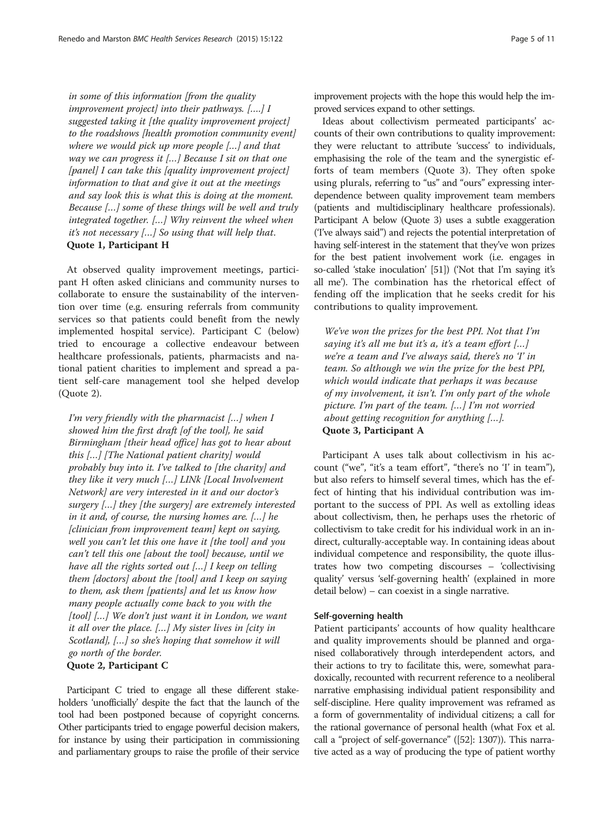in some of this information [from the quality improvement project] into their pathways.  $[....]$  I suggested taking it [the quality improvement project] to the roadshows [health promotion community event] where we would pick up more people [...] and that way we can progress it  $[...]$  Because I sit on that one [panel] I can take this [quality improvement project] information to that and give it out at the meetings and say look this is what this is doing at the moment. Because […] some of these things will be well and truly integrated together. […] Why reinvent the wheel when it's not necessary […] So using that will help that. Quote 1, Participant H

At observed quality improvement meetings, participant H often asked clinicians and community nurses to collaborate to ensure the sustainability of the intervention over time (e.g. ensuring referrals from community services so that patients could benefit from the newly implemented hospital service). Participant C (below) tried to encourage a collective endeavour between healthcare professionals, patients, pharmacists and national patient charities to implement and spread a patient self-care management tool she helped develop (Quote 2).

I'm very friendly with the pharmacist […] when I showed him the first draft [of the tool], he said Birmingham [their head office] has got to hear about this […] [The National patient charity] would probably buy into it. I've talked to [the charity] and they like it very much […] LINk [Local Involvement Network] are very interested in it and our doctor's surgery [...] they [the surgery] are extremely interested in it and, of course, the nursing homes are. […] he [clinician from improvement team] kept on saying, well you can't let this one have it [the tool] and you can't tell this one [about the tool] because, until we have all the rights sorted out [...] I keep on telling them [doctors] about the [tool] and I keep on saying to them, ask them [patients] and let us know how many people actually come back to you with the  $[tool]$   $[...]$  We don't just want it in London, we want it all over the place. […] My sister lives in [city in Scotland], […] so she's hoping that somehow it will go north of the border. Quote 2, Participant C

Participant C tried to engage all these different stakeholders 'unofficially' despite the fact that the launch of the tool had been postponed because of copyright concerns. Other participants tried to engage powerful decision makers, for instance by using their participation in commissioning and parliamentary groups to raise the profile of their service

Ideas about collectivism permeated participants' accounts of their own contributions to quality improvement: they were reluctant to attribute 'success' to individuals, emphasising the role of the team and the synergistic efforts of team members (Quote 3). They often spoke using plurals, referring to "us" and "ours" expressing interdependence between quality improvement team members (patients and multidisciplinary healthcare professionals). Participant A below (Quote 3) uses a subtle exaggeration ('I've always said") and rejects the potential interpretation of having self-interest in the statement that they've won prizes for the best patient involvement work (i.e. engages in so-called 'stake inoculation' [[51](#page-10-0)]) ('Not that I'm saying it's all me'). The combination has the rhetorical effect of fending off the implication that he seeks credit for his contributions to quality improvement.

We've won the prizes for the best PPI. Not that I'm saying it's all me but it's a, it's a team effort [...] we're a team and I've always said, there's no 'I' in team. So although we win the prize for the best PPI, which would indicate that perhaps it was because of my involvement, it isn't. I'm only part of the whole picture. I'm part of the team. […] I'm not worried about getting recognition for anything […]. Quote 3, Participant A

Participant A uses talk about collectivism in his account ("we", "it's a team effort", "there's no 'I' in team"), but also refers to himself several times, which has the effect of hinting that his individual contribution was important to the success of PPI. As well as extolling ideas about collectivism, then, he perhaps uses the rhetoric of collectivism to take credit for his individual work in an indirect, culturally-acceptable way. In containing ideas about individual competence and responsibility, the quote illustrates how two competing discourses – 'collectivising quality' versus 'self-governing health' (explained in more detail below) – can coexist in a single narrative.

## Self-governing health

Patient participants' accounts of how quality healthcare and quality improvements should be planned and organised collaboratively through interdependent actors, and their actions to try to facilitate this, were, somewhat paradoxically, recounted with recurrent reference to a neoliberal narrative emphasising individual patient responsibility and self-discipline. Here quality improvement was reframed as a form of governmentality of individual citizens; a call for the rational governance of personal health (what Fox et al. call a "project of self-governance" ([\[52\]](#page-10-0): 1307)). This narrative acted as a way of producing the type of patient worthy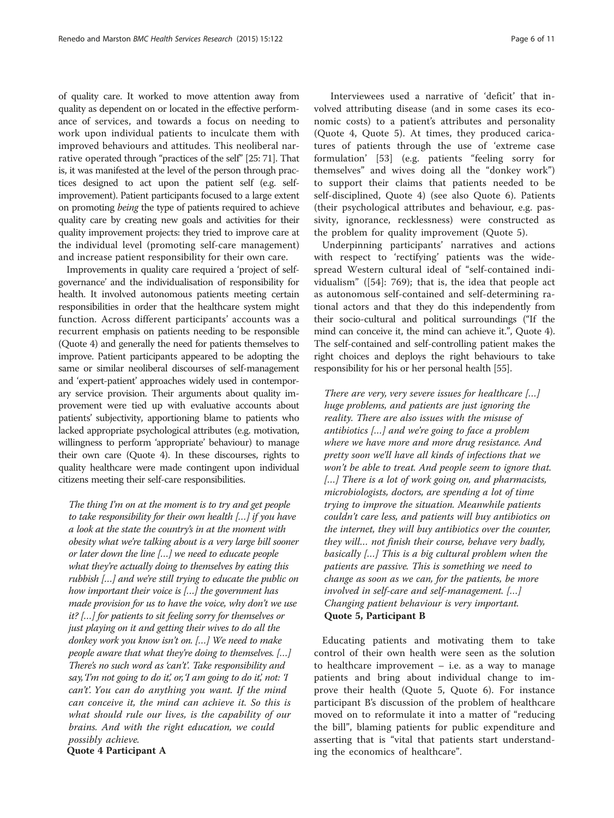of quality care. It worked to move attention away from quality as dependent on or located in the effective performance of services, and towards a focus on needing to work upon individual patients to inculcate them with improved behaviours and attitudes. This neoliberal narrative operated through "practices of the self" [25: 71]. That is, it was manifested at the level of the person through practices designed to act upon the patient self (e.g. selfimprovement). Patient participants focused to a large extent on promoting being the type of patients required to achieve quality care by creating new goals and activities for their quality improvement projects: they tried to improve care at the individual level (promoting self-care management) and increase patient responsibility for their own care.

Improvements in quality care required a 'project of selfgovernance' and the individualisation of responsibility for health. It involved autonomous patients meeting certain responsibilities in order that the healthcare system might function. Across different participants' accounts was a recurrent emphasis on patients needing to be responsible (Quote 4) and generally the need for patients themselves to improve. Patient participants appeared to be adopting the same or similar neoliberal discourses of self-management and 'expert-patient' approaches widely used in contemporary service provision. Their arguments about quality improvement were tied up with evaluative accounts about patients' subjectivity, apportioning blame to patients who lacked appropriate psychological attributes (e.g. motivation, willingness to perform 'appropriate' behaviour) to manage their own care (Quote 4). In these discourses, rights to quality healthcare were made contingent upon individual citizens meeting their self-care responsibilities.

The thing I'm on at the moment is to try and get people to take responsibility for their own health […] if you have a look at the state the country's in at the moment with obesity what we're talking about is a very large bill sooner or later down the line […] we need to educate people what they're actually doing to themselves by eating this rubbish […] and we're still trying to educate the public on how important their voice is […] the government has made provision for us to have the voice, why don't we use it? […] for patients to sit feeling sorry for themselves or just playing on it and getting their wives to do all the donkey work you know isn't on. […] We need to make people aware that what they're doing to themselves. […] There's no such word as 'can't'. Take responsibility and say, I'm not going to do it, or, I am going to do it, not: T can't'. You can do anything you want. If the mind can conceive it, the mind can achieve it. So this is what should rule our lives, is the capability of our brains. And with the right education, we could possibly achieve. Quote 4 Participant A ing the economics of healthcare".

Interviewees used a narrative of 'deficit' that involved attributing disease (and in some cases its economic costs) to a patient's attributes and personality (Quote 4, Quote 5). At times, they produced caricatures of patients through the use of 'extreme case formulation' [[53](#page-10-0)] (e.g. patients "feeling sorry for themselves" and wives doing all the "donkey work") to support their claims that patients needed to be self-disciplined, Quote 4) (see also Quote 6). Patients (their psychological attributes and behaviour, e.g. passivity, ignorance, recklessness) were constructed as the problem for quality improvement (Quote 5).

Underpinning participants' narratives and actions with respect to 'rectifying' patients was the widespread Western cultural ideal of "self-contained individualism" ([\[54](#page-10-0)]: 769); that is, the idea that people act as autonomous self-contained and self-determining rational actors and that they do this independently from their socio-cultural and political surroundings ("If the mind can conceive it, the mind can achieve it.", Quote 4). The self-contained and self-controlling patient makes the right choices and deploys the right behaviours to take responsibility for his or her personal health [\[55\]](#page-10-0).

There are very, very severe issues for healthcare […] huge problems, and patients are just ignoring the reality. There are also issues with the misuse of antibiotics […] and we're going to face a problem where we have more and more drug resistance. And pretty soon we'll have all kinds of infections that we won't be able to treat. And people seem to ignore that. [...] There is a lot of work going on, and pharmacists, microbiologists, doctors, are spending a lot of time trying to improve the situation. Meanwhile patients couldn't care less, and patients will buy antibiotics on the internet, they will buy antibiotics over the counter, they will… not finish their course, behave very badly, basically […] This is a big cultural problem when the patients are passive. This is something we need to change as soon as we can, for the patients, be more involved in self-care and self-management. […] Changing patient behaviour is very important. Quote 5, Participant B

Educating patients and motivating them to take control of their own health were seen as the solution to healthcare improvement  $-$  i.e. as a way to manage patients and bring about individual change to improve their health (Quote 5, Quote 6). For instance participant B's discussion of the problem of healthcare moved on to reformulate it into a matter of "reducing the bill", blaming patients for public expenditure and asserting that is "vital that patients start understand-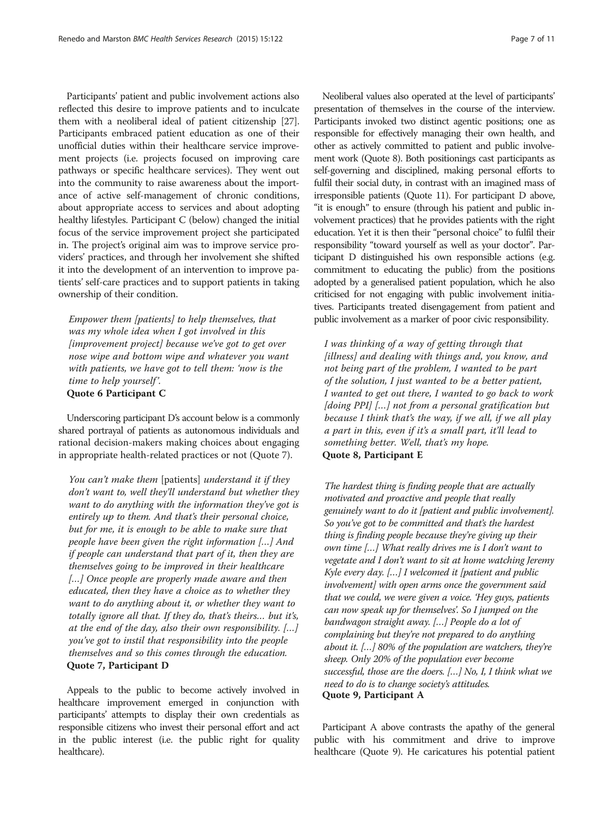Participants' patient and public involvement actions also reflected this desire to improve patients and to inculcate them with a neoliberal ideal of patient citizenship [[27](#page-9-0)]. Participants embraced patient education as one of their unofficial duties within their healthcare service improvement projects (i.e. projects focused on improving care pathways or specific healthcare services). They went out into the community to raise awareness about the importance of active self-management of chronic conditions, about appropriate access to services and about adopting healthy lifestyles. Participant C (below) changed the initial focus of the service improvement project she participated in. The project's original aim was to improve service providers' practices, and through her involvement she shifted it into the development of an intervention to improve patients' self-care practices and to support patients in taking ownership of their condition.

Empower them [patients] to help themselves, that was my whole idea when I got involved in this [improvement project] because we've got to get over nose wipe and bottom wipe and whatever you want with patients, we have got to tell them: 'now is the time to help yourself'. Quote 6 Participant C

Underscoring participant D's account below is a commonly shared portrayal of patients as autonomous individuals and rational decision-makers making choices about engaging in appropriate health-related practices or not (Quote 7).

You can't make them [patients] understand it if they don't want to, well they'll understand but whether they want to do anything with the information they've got is entirely up to them. And that's their personal choice, but for me, it is enough to be able to make sure that people have been given the right information […] And if people can understand that part of it, then they are themselves going to be improved in their healthcare [...] Once people are properly made aware and then educated, then they have a choice as to whether they want to do anything about it, or whether they want to totally ignore all that. If they do, that's theirs… but it's, at the end of the day, also their own responsibility. […] you've got to instil that responsibility into the people themselves and so this comes through the education. Quote 7, Participant D

Appeals to the public to become actively involved in healthcare improvement emerged in conjunction with participants' attempts to display their own credentials as responsible citizens who invest their personal effort and act in the public interest (i.e. the public right for quality healthcare).

Neoliberal values also operated at the level of participants' presentation of themselves in the course of the interview. Participants invoked two distinct agentic positions; one as responsible for effectively managing their own health, and other as actively committed to patient and public involvement work (Quote 8). Both positionings cast participants as self-governing and disciplined, making personal efforts to fulfil their social duty, in contrast with an imagined mass of irresponsible patients (Quote 11). For participant D above, "it is enough" to ensure (through his patient and public involvement practices) that he provides patients with the right education. Yet it is then their "personal choice" to fulfil their responsibility "toward yourself as well as your doctor". Participant D distinguished his own responsible actions (e.g. commitment to educating the public) from the positions adopted by a generalised patient population, which he also criticised for not engaging with public involvement initiatives. Participants treated disengagement from patient and public involvement as a marker of poor civic responsibility.

I was thinking of a way of getting through that [illness] and dealing with things and, you know, and not being part of the problem, I wanted to be part of the solution, I just wanted to be a better patient, I wanted to get out there, I wanted to go back to work [doing PPI] [...] not from a personal gratification but because I think that's the way, if we all, if we all play a part in this, even if it's a small part, it'll lead to something better. Well, that's my hope. Quote 8, Participant E

The hardest thing is finding people that are actually motivated and proactive and people that really genuinely want to do it [patient and public involvement]. So you've got to be committed and that's the hardest thing is finding people because they're giving up their own time […] What really drives me is I don't want to vegetate and I don't want to sit at home watching Jeremy Kyle every day. […] I welcomed it [patient and public involvement] with open arms once the government said that we could, we were given a voice. 'Hey guys, patients can now speak up for themselves'. So I jumped on the bandwagon straight away. […] People do a lot of complaining but they're not prepared to do anything about it. […] 80% of the population are watchers, they're sheep. Only 20% of the population ever become successful, those are the doers. […] No, I, I think what we need to do is to change society's attitudes. Quote 9, Participant A

Participant A above contrasts the apathy of the general public with his commitment and drive to improve healthcare (Quote 9). He caricatures his potential patient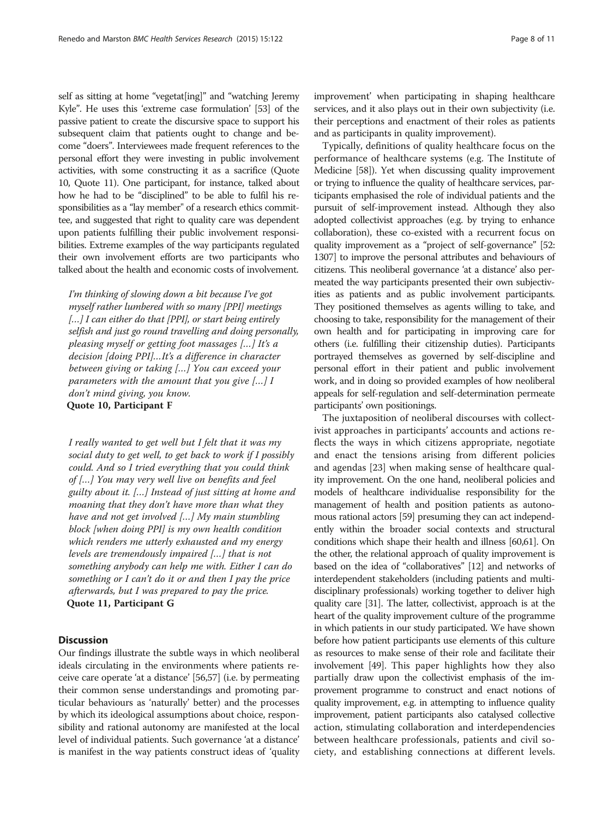self as sitting at home "vegetat[ing]" and "watching Jeremy Kyle". He uses this 'extreme case formulation' [\[53](#page-10-0)] of the passive patient to create the discursive space to support his subsequent claim that patients ought to change and become "doers". Interviewees made frequent references to the personal effort they were investing in public involvement activities, with some constructing it as a sacrifice (Quote 10, Quote 11). One participant, for instance, talked about how he had to be "disciplined" to be able to fulfil his responsibilities as a "lay member" of a research ethics committee, and suggested that right to quality care was dependent upon patients fulfilling their public involvement responsibilities. Extreme examples of the way participants regulated their own involvement efforts are two participants who talked about the health and economic costs of involvement.

I'm thinking of slowing down a bit because I've got myself rather lumbered with so many [PPI] meetings [...] I can either do that [PPI], or start being entirely selfish and just go round travelling and doing personally, pleasing myself or getting foot massages […] It's a decision [doing PPI]…It's a difference in character between giving or taking […] You can exceed your parameters with the amount that you give […] I don't mind giving, you know. Quote 10, Participant F

I really wanted to get well but I felt that it was my social duty to get well, to get back to work if I possibly could. And so I tried everything that you could think of […] You may very well live on benefits and feel guilty about it. […] Instead of just sitting at home and moaning that they don't have more than what they have and not get involved [...] My main stumbling block [when doing PPI] is my own health condition which renders me utterly exhausted and my energy levels are tremendously impaired […] that is not something anybody can help me with. Either I can do something or I can't do it or and then I pay the price afterwards, but I was prepared to pay the price. Quote 11, Participant G

## **Discussion**

Our findings illustrate the subtle ways in which neoliberal ideals circulating in the environments where patients receive care operate 'at a distance' [[56,57\]](#page-10-0) (i.e. by permeating their common sense understandings and promoting particular behaviours as 'naturally' better) and the processes by which its ideological assumptions about choice, responsibility and rational autonomy are manifested at the local level of individual patients. Such governance 'at a distance' is manifest in the way patients construct ideas of 'quality improvement' when participating in shaping healthcare services, and it also plays out in their own subjectivity (i.e. their perceptions and enactment of their roles as patients and as participants in quality improvement).

Typically, definitions of quality healthcare focus on the performance of healthcare systems (e.g. The Institute of Medicine [\[58\]](#page-10-0)). Yet when discussing quality improvement or trying to influence the quality of healthcare services, participants emphasised the role of individual patients and the pursuit of self-improvement instead. Although they also adopted collectivist approaches (e.g. by trying to enhance collaboration), these co-existed with a recurrent focus on quality improvement as a "project of self-governance" [52: 1307] to improve the personal attributes and behaviours of citizens. This neoliberal governance 'at a distance' also permeated the way participants presented their own subjectivities as patients and as public involvement participants. They positioned themselves as agents willing to take, and choosing to take, responsibility for the management of their own health and for participating in improving care for others (i.e. fulfilling their citizenship duties). Participants portrayed themselves as governed by self-discipline and personal effort in their patient and public involvement work, and in doing so provided examples of how neoliberal appeals for self-regulation and self-determination permeate participants' own positionings.

The juxtaposition of neoliberal discourses with collectivist approaches in participants' accounts and actions reflects the ways in which citizens appropriate, negotiate and enact the tensions arising from different policies and agendas [[23](#page-9-0)] when making sense of healthcare quality improvement. On the one hand, neoliberal policies and models of healthcare individualise responsibility for the management of health and position patients as autonomous rational actors [\[59\]](#page-10-0) presuming they can act independently within the broader social contexts and structural conditions which shape their health and illness [[60,61\]](#page-10-0). On the other, the relational approach of quality improvement is based on the idea of "collaboratives" [\[12\]](#page-9-0) and networks of interdependent stakeholders (including patients and multidisciplinary professionals) working together to deliver high quality care [\[31\]](#page-9-0). The latter, collectivist, approach is at the heart of the quality improvement culture of the programme in which patients in our study participated. We have shown before how patient participants use elements of this culture as resources to make sense of their role and facilitate their involvement [[49\]](#page-10-0). This paper highlights how they also partially draw upon the collectivist emphasis of the improvement programme to construct and enact notions of quality improvement, e.g. in attempting to influence quality improvement, patient participants also catalysed collective action, stimulating collaboration and interdependencies between healthcare professionals, patients and civil society, and establishing connections at different levels.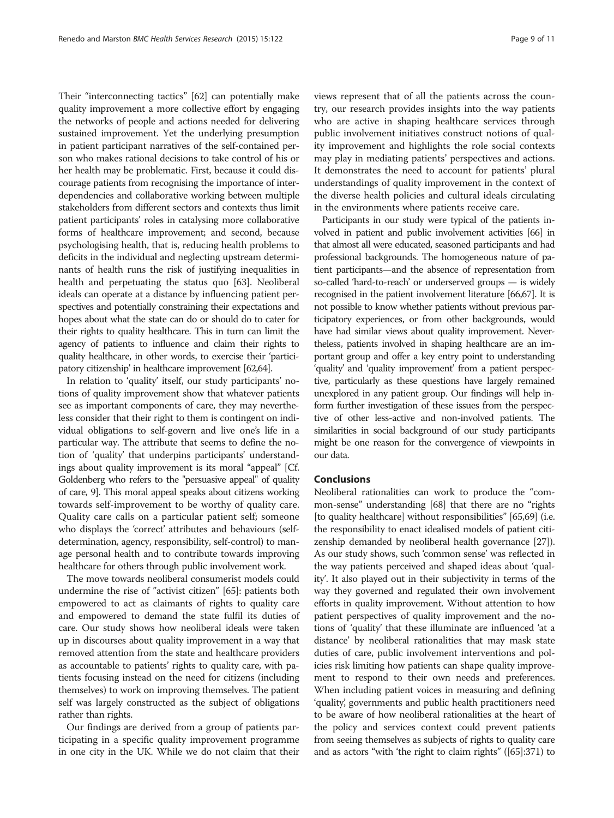Their "interconnecting tactics" [[62](#page-10-0)] can potentially make quality improvement a more collective effort by engaging the networks of people and actions needed for delivering sustained improvement. Yet the underlying presumption in patient participant narratives of the self-contained person who makes rational decisions to take control of his or her health may be problematic. First, because it could discourage patients from recognising the importance of interdependencies and collaborative working between multiple stakeholders from different sectors and contexts thus limit patient participants' roles in catalysing more collaborative forms of healthcare improvement; and second, because psychologising health, that is, reducing health problems to deficits in the individual and neglecting upstream determinants of health runs the risk of justifying inequalities in health and perpetuating the status quo [[63](#page-10-0)]. Neoliberal ideals can operate at a distance by influencing patient perspectives and potentially constraining their expectations and hopes about what the state can do or should do to cater for their rights to quality healthcare. This in turn can limit the agency of patients to influence and claim their rights to quality healthcare, in other words, to exercise their 'participatory citizenship' in healthcare improvement [\[62,64\]](#page-10-0).

In relation to 'quality' itself, our study participants' notions of quality improvement show that whatever patients see as important components of care, they may nevertheless consider that their right to them is contingent on individual obligations to self-govern and live one's life in a particular way. The attribute that seems to define the notion of 'quality' that underpins participants' understandings about quality improvement is its moral "appeal" [Cf. Goldenberg who refers to the "persuasive appeal" of quality of care, 9]. This moral appeal speaks about citizens working towards self-improvement to be worthy of quality care. Quality care calls on a particular patient self; someone who displays the 'correct' attributes and behaviours (selfdetermination, agency, responsibility, self-control) to manage personal health and to contribute towards improving healthcare for others through public involvement work.

The move towards neoliberal consumerist models could undermine the rise of "activist citizen" [\[65\]](#page-10-0): patients both empowered to act as claimants of rights to quality care and empowered to demand the state fulfil its duties of care. Our study shows how neoliberal ideals were taken up in discourses about quality improvement in a way that removed attention from the state and healthcare providers as accountable to patients' rights to quality care, with patients focusing instead on the need for citizens (including themselves) to work on improving themselves. The patient self was largely constructed as the subject of obligations rather than rights.

Our findings are derived from a group of patients participating in a specific quality improvement programme in one city in the UK. While we do not claim that their views represent that of all the patients across the country, our research provides insights into the way patients who are active in shaping healthcare services through public involvement initiatives construct notions of quality improvement and highlights the role social contexts may play in mediating patients' perspectives and actions. It demonstrates the need to account for patients' plural

in the environments where patients receive care. Participants in our study were typical of the patients involved in patient and public involvement activities [\[66\]](#page-10-0) in that almost all were educated, seasoned participants and had professional backgrounds. The homogeneous nature of patient participants—and the absence of representation from so-called 'hard-to-reach' or underserved groups — is widely recognised in the patient involvement literature [\[66,67\]](#page-10-0). It is not possible to know whether patients without previous participatory experiences, or from other backgrounds, would have had similar views about quality improvement. Nevertheless, patients involved in shaping healthcare are an important group and offer a key entry point to understanding 'quality' and 'quality improvement' from a patient perspective, particularly as these questions have largely remained unexplored in any patient group. Our findings will help inform further investigation of these issues from the perspective of other less-active and non-involved patients. The similarities in social background of our study participants might be one reason for the convergence of viewpoints in our data.

understandings of quality improvement in the context of the diverse health policies and cultural ideals circulating

# Conclusions

Neoliberal rationalities can work to produce the "common-sense" understanding [\[68\]](#page-10-0) that there are no "rights [to quality healthcare] without responsibilities" [\[65,69\]](#page-10-0) (i.e. the responsibility to enact idealised models of patient citizenship demanded by neoliberal health governance [[27](#page-9-0)]). As our study shows, such 'common sense' was reflected in the way patients perceived and shaped ideas about 'quality'. It also played out in their subjectivity in terms of the way they governed and regulated their own involvement efforts in quality improvement. Without attention to how patient perspectives of quality improvement and the notions of 'quality' that these illuminate are influenced 'at a distance' by neoliberal rationalities that may mask state duties of care, public involvement interventions and policies risk limiting how patients can shape quality improvement to respond to their own needs and preferences. When including patient voices in measuring and defining 'quality', governments and public health practitioners need to be aware of how neoliberal rationalities at the heart of the policy and services context could prevent patients from seeing themselves as subjects of rights to quality care and as actors "with 'the right to claim rights" ([\[65\]](#page-10-0):371) to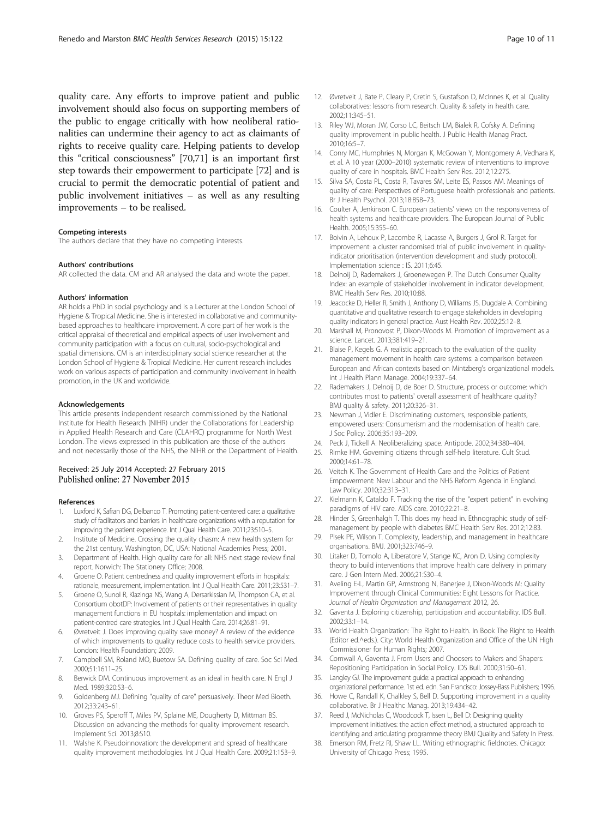<span id="page-9-0"></span>quality care. Any efforts to improve patient and public involvement should also focus on supporting members of the public to engage critically with how neoliberal rationalities can undermine their agency to act as claimants of rights to receive quality care. Helping patients to develop this "critical consciousness" [\[70,71\]](#page-10-0) is an important first step towards their empowerment to participate [\[72\]](#page-10-0) and is crucial to permit the democratic potential of patient and public involvement initiatives – as well as any resulting improvements – to be realised.

#### Competing interests

The authors declare that they have no competing interests.

#### Authors' contributions

AR collected the data. CM and AR analysed the data and wrote the paper.

#### Authors' information

AR holds a PhD in social psychology and is a Lecturer at the London School of Hygiene & Tropical Medicine. She is interested in collaborative and communitybased approaches to healthcare improvement. A core part of her work is the critical appraisal of theoretical and empirical aspects of user involvement and community participation with a focus on cultural, socio-psychological and spatial dimensions. CM is an interdisciplinary social science researcher at the London School of Hygiene & Tropical Medicine. Her current research includes work on various aspects of participation and community involvement in health promotion, in the UK and worldwide.

#### Acknowledgements

This article presents independent research commissioned by the National Institute for Health Research (NIHR) under the Collaborations for Leadership in Applied Health Research and Care (CLAHRC) programme for North West London. The views expressed in this publication are those of the authors and not necessarily those of the NHS, the NIHR or the Department of Health.

#### Received: 25 July 2014 Accepted: 27 February 2015 Published online: 27 November 2015

#### References

- 1. Luxford K, Safran DG, Delbanco T. Promoting patient-centered care: a qualitative study of facilitators and barriers in healthcare organizations with a reputation for improving the patient experience. Int J Qual Health Care. 2011;23:510–5.
- Institute of Medicine. Crossing the quality chasm: A new health system for the 21st century. Washington, DC, USA: National Academies Press; 2001.
- 3. Department of Health. High quality care for all: NHS next stage review final report. Norwich: The Stationery Office; 2008.
- 4. Groene O. Patient centredness and quality improvement efforts in hospitals: rationale, measurement, implementation. Int J Qual Health Care. 2011;23:531–7.
- 5. Groene O, Sunol R, Klazinga NS, Wang A, Dersarkissian M, Thompson CA, et al. Consortium obotDP: Involvement of patients or their representatives in quality management functions in EU hospitals: implementation and impact on patient-centred care strategies. Int J Qual Health Care. 2014;26:81–91.
- 6. Øvretveit J. Does improving quality save money? A review of the evidence of which improvements to quality reduce costs to health service providers. London: Health Foundation; 2009.
- 7. Campbell SM, Roland MO, Buetow SA. Defining quality of care. Soc Sci Med. 2000;51:1611–25.
- 8. Berwick DM. Continuous improvement as an ideal in health care. N Engl J Med. 1989;320:53–6.
- 9. Goldenberg MJ. Defining "quality of care" persuasively. Theor Med Bioeth. 2012;33:243–61.
- 10. Groves PS, Speroff T, Miles PV, Splaine ME, Dougherty D, Mittman BS. Discussion on advancing the methods for quality improvement research. Implement Sci. 2013;8:S10.
- 11. Walshe K. Pseudoinnovation: the development and spread of healthcare quality improvement methodologies. Int J Qual Health Care. 2009;21:153–9.
- 12. Øvretveit J, Bate P, Cleary P, Cretin S, Gustafson D, McInnes K, et al. Quality collaboratives: lessons from research. Quality & safety in health care. 2002;11:345–51.
- 13. Riley WJ, Moran JW, Corso LC, Beitsch LM, Bialek R, Cofsky A. Defining quality improvement in public health. J Public Health Manag Pract. 2010;16:5–7.
- 14. Conry MC, Humphries N, Morgan K, McGowan Y, Montgomery A, Vedhara K, et al. A 10 year (2000–2010) systematic review of interventions to improve quality of care in hospitals. BMC Health Serv Res. 2012;12:275.
- 15. Silva SA, Costa PL, Costa R, Tavares SM, Leite ES, Passos AM. Meanings of quality of care: Perspectives of Portuguese health professionals and patients. Br J Health Psychol. 2013;18:858–73.
- 16. Coulter A, Jenkinson C. European patients' views on the responsiveness of health systems and healthcare providers. The European Journal of Public Health. 2005;15:355–60.
- 17. Boivin A, Lehoux P, Lacombe R, Lacasse A, Burgers J, Grol R. Target for improvement: a cluster randomised trial of public involvement in qualityindicator prioritisation (intervention development and study protocol). Implementation science : IS. 2011;6:45.
- 18. Delnoij D, Rademakers J, Groenewegen P. The Dutch Consumer Quality Index: an example of stakeholder involvement in indicator development. BMC Health Serv Res. 2010;10:88.
- 19. Jeacocke D, Heller R, Smith J, Anthony D, Williams JS, Dugdale A. Combining quantitative and qualitative research to engage stakeholders in developing quality indicators in general practice. Aust Health Rev. 2002;25:12–8.
- 20. Marshall M, Pronovost P, Dixon-Woods M. Promotion of improvement as a science. Lancet. 2013;381:419–21.
- 21. Blaise P, Kegels G. A realistic approach to the evaluation of the quality management movement in health care systems: a comparison between European and African contexts based on Mintzberg's organizational models. Int J Health Plann Manage. 2004;19:337–64.
- 22. Rademakers J, Delnoij D, de Boer D. Structure, process or outcome: which contributes most to patients' overall assessment of healthcare quality? BMJ quality & safety. 2011;20:326–31.
- 23. Newman J, Vidler E. Discriminating customers, responsible patients, empowered users: Consumerism and the modernisation of health care. J Soc Policy. 2006;35:193–209.
- 24. Peck J, Tickell A. Neoliberalizing space. Antipode. 2002;34:380–404.
- 25. Rimke HM. Governing citizens through self-help literature. Cult Stud. 2000;14:61–78.
- 26. Veitch K. The Government of Health Care and the Politics of Patient Empowerment: New Labour and the NHS Reform Agenda in England. Law Policy. 2010;32:313–31.
- 27. Kielmann K, Cataldo F. Tracking the rise of the "expert patient" in evolving paradigms of HIV care. AIDS care. 2010;22:21–8.
- 28. Hinder S, Greenhalgh T. This does my head in. Ethnographic study of selfmanagement by people with diabetes BMC Health Serv Res. 2012;12:83.
- 29. Plsek PE, Wilson T. Complexity, leadership, and management in healthcare organisations. BMJ. 2001;323:746–9.
- 30. Litaker D, Tomolo A, Liberatore V, Stange KC, Aron D. Using complexity theory to build interventions that improve health care delivery in primary care. J Gen Intern Med. 2006;21:S30–4.
- 31. Aveling E-L, Martin GP, Armstrong N, Banerjee J, Dixon-Woods M: Quality Improvement through Clinical Communities: Eight Lessons for Practice. Journal of Health Organization and Management 2012, 26.
- 32. Gaventa J. Exploring citizenship, participation and accountability. IDS Bull. 2002;33:1–14.
- 33. World Health Organization: The Right to Health. In Book The Right to Health (Editor ed.^eds.). City: World Health Organization and Office of the UN High Commissioner for Human Rights; 2007.
- 34. Cornwall A, Gaventa J. From Users and Choosers to Makers and Shapers: Repositioning Participation in Social Policy. IDS Bull. 2000;31:50–61.
- 35. Langley GJ. The improvement guide: a practical approach to enhancing organizational performance. 1st ed. edn. San Francisco: Jossey-Bass Publishers; 1996.
- 36. Howe C, Randall K, Chalkley S, Bell D. Supporting improvement in a quality collaborative. Br J Healthc Manag. 2013;19:434–42.
- 37. Reed J, McNicholas C, Woodcock T, Issen L, Bell D: Designing quality improvement initiatives: the action effect method, a structured approach to identifying and articulating programme theory BMJ Quality and Safety In Press.
- 38. Emerson RM, Fretz RI, Shaw LL. Writing ethnographic fieldnotes. Chicago: University of Chicago Press; 1995.